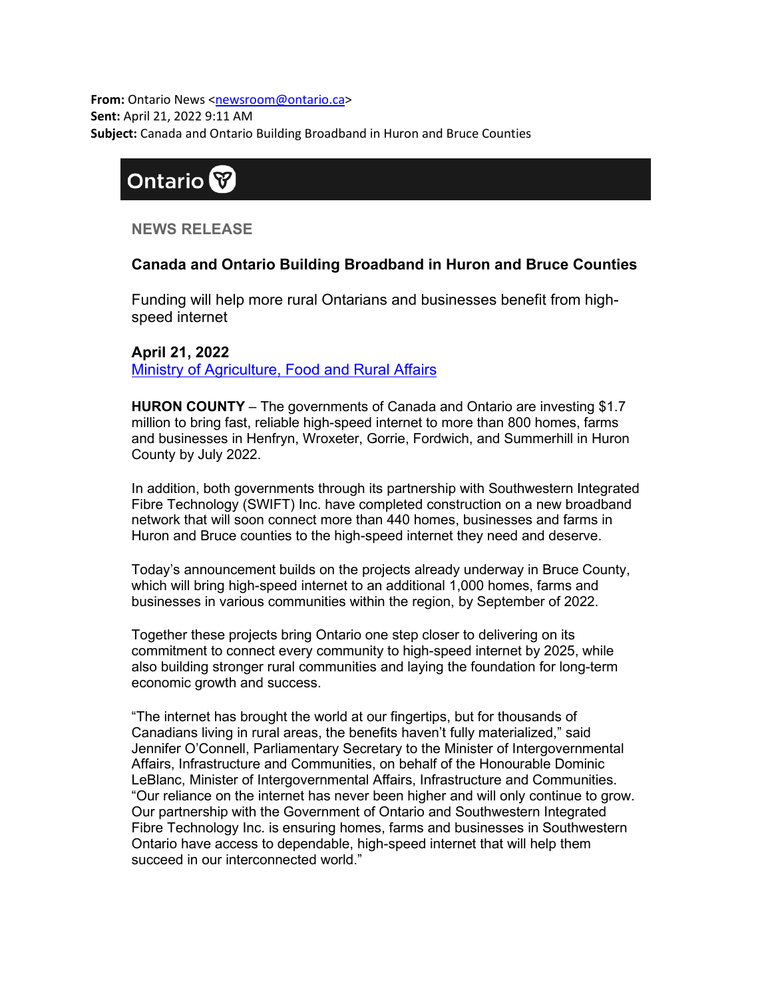**From:** Ontario News [<newsroom@ontario.ca>](mailto:newsroom@ontario.ca) **Sent:** April 21, 2022 9:11 AM **Subject:** Canada and Ontario Building Broadband in Huron and Bruce Counties

### **Ontario**

**NEWS RELEASE**

### **Canada and Ontario Building Broadband in Huron and Bruce Counties**

Funding will help more rural Ontarians and businesses benefit from highspeed internet

**April 21, 2022** [Ministry of Agriculture, Food and Rural Affairs](https://u22040672.ct.sendgrid.net/ls/click?upn=nW6WfPO4Bjg1VsnalDVryeDJe5ixZPtjiuF6ez553Y7aMbGmiKQ1oBS7Q0cG85Ym9nfQ-2FEzhKWF7zNjPoumhMUtFaD3j8IshWdqi9-2FuLuV6ezjBWsEvp1kT64-2BUiY19gGyhFlL0oU72-2BTLncysm-2Fg-2F51-2Fkfn-2BnthaKN4FajF1KMEFIOxzjsaVW3J7FgFbN66F8UkSV4FyfUCWcH8VHqQVa7ae8QElE9YBCHV0noV0ulXFZlbc7WDOfQGHmk9Flxk-2BbY-2FFz1ZdxFBmD-2BitFcdeQ-3D-3D0d3w_fLfMjauwFhnFyMZcqxqw-2B0uRjp7fe0LDFRqhMNYTC1vIAaWFubSG7XCT0kzZu4Qd-2F-2B9o80gitjdt-2F8Dpvxe-2BlV3Z03ymDGNHgvBmqXFaVmOJmHXzyW-2FdQTrd-2F4pStaUrPZncKvcoDN2tIWydgfMZx0kjBy8vVYgCavdiQdmFH1HNj6uPQBHtIlc0lItN97UIj2BjNEw6W2HCFHlbajJjXw-3D-3D)

**HURON COUNTY** – The governments of Canada and Ontario are investing \$1.7 million to bring fast, reliable high-speed internet to more than 800 homes, farms and businesses in Henfryn, Wroxeter, Gorrie, Fordwich, and Summerhill in Huron County by July 2022.

In addition, both governments through its partnership with Southwestern Integrated Fibre Technology (SWIFT) Inc. have completed construction on a new broadband network that will soon connect more than 440 homes, businesses and farms in Huron and Bruce counties to the high-speed internet they need and deserve.

Today's announcement builds on the projects already underway in Bruce County, which will bring high-speed internet to an additional 1,000 homes, farms and businesses in various communities within the region, by September of 2022.

Together these projects bring Ontario one step closer to delivering on its commitment to connect every community to high-speed internet by 2025, while also building stronger rural communities and laying the foundation for long-term economic growth and success.

"The internet has brought the world at our fingertips, but for thousands of Canadians living in rural areas, the benefits haven't fully materialized," said Jennifer O'Connell, Parliamentary Secretary to the Minister of Intergovernmental Affairs, Infrastructure and Communities, on behalf of the Honourable Dominic LeBlanc, Minister of Intergovernmental Affairs, Infrastructure and Communities. "Our reliance on the internet has never been higher and will only continue to grow. Our partnership with the Government of Ontario and Southwestern Integrated Fibre Technology Inc. is ensuring homes, farms and businesses in Southwestern Ontario have access to dependable, high-speed internet that will help them succeed in our interconnected world."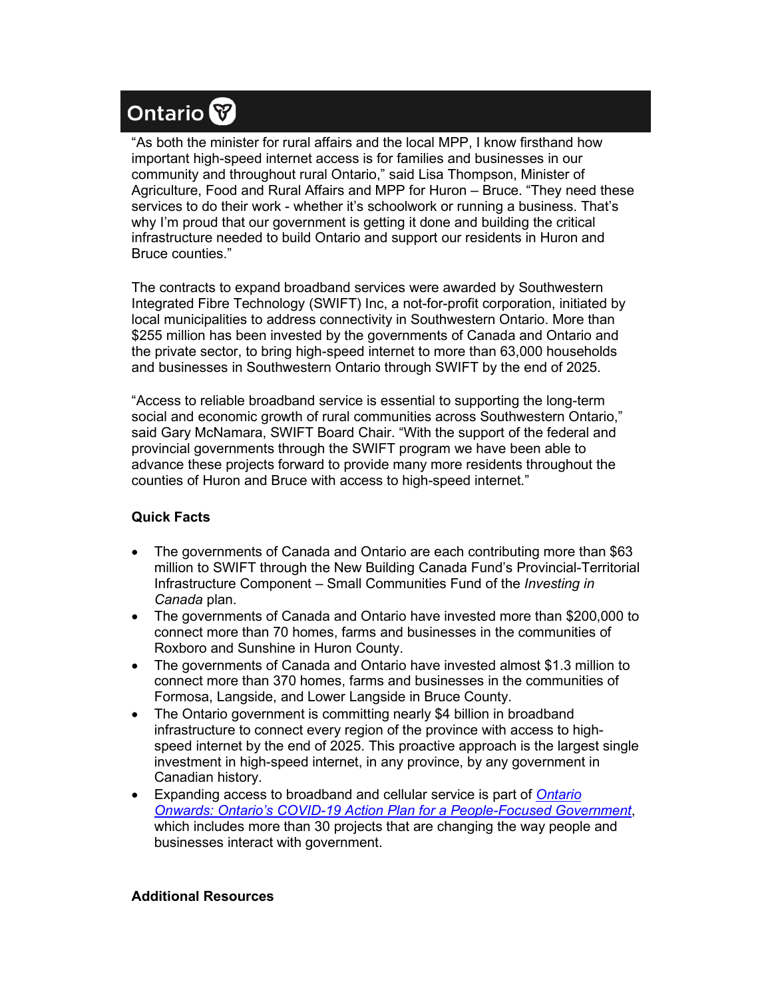# Ontario<sup>8</sup>

"As both the minister for rural affairs and the local MPP, I know firsthand how important high-speed internet access is for families and businesses in our community and throughout rural Ontario," said Lisa Thompson, Minister of Agriculture, Food and Rural Affairs and MPP for Huron – Bruce. "They need these services to do their work - whether it's schoolwork or running a business. That's why I'm proud that our government is getting it done and building the critical infrastructure needed to build Ontario and support our residents in Huron and Bruce counties."

The contracts to expand broadband services were awarded by Southwestern Integrated Fibre Technology (SWIFT) Inc, a not-for-profit corporation, initiated by local municipalities to address connectivity in Southwestern Ontario. More than \$255 million has been invested by the governments of Canada and Ontario and the private sector, to bring high-speed internet to more than 63,000 households and businesses in Southwestern Ontario through SWIFT by the end of 2025.

"Access to reliable broadband service is essential to supporting the long-term social and economic growth of rural communities across Southwestern Ontario," said Gary McNamara, SWIFT Board Chair. "With the support of the federal and provincial governments through the SWIFT program we have been able to advance these projects forward to provide many more residents throughout the counties of Huron and Bruce with access to high-speed internet."

#### **Quick Facts**

- The governments of Canada and Ontario are each contributing more than \$63 million to SWIFT through the New Building Canada Fund's Provincial-Territorial Infrastructure Component – Small Communities Fund of the *Investing in Canada* plan.
- The governments of Canada and Ontario have invested more than \$200,000 to connect more than 70 homes, farms and businesses in the communities of Roxboro and Sunshine in Huron County.
- The governments of Canada and Ontario have invested almost \$1.3 million to connect more than 370 homes, farms and businesses in the communities of Formosa, Langside, and Lower Langside in Bruce County.
- The Ontario government is committing nearly \$4 billion in broadband infrastructure to connect every region of the province with access to highspeed internet by the end of 2025. This proactive approach is the largest single investment in high-speed internet, in any province, by any government in Canadian history.
- Expanding access to broadband and cellular service is part of *[Ontario](https://u22040672.ct.sendgrid.net/ls/click?upn=nW6WfPO4Bjg1VsnalDVrybpP-2Fn8QUJd4KDs5nhh84id7QFUaJSCfxjvFUOvNCI5uRZndgkj1KlBk3XRHZl0OVUiySSEoIUuhMie2qhyUYdTmxEfuZx4fEBONBoPR-2FfZWEIpD00BZaUdJMYIGBQ9wu5iCrFK3l68t-2FUSUkpePFe-2B9bAinHOEP52jRZIhYu-2FiBhntmsV-2FZC-2BP4GHzvv9yitW-2BWiG7NGTHnUlf3GLrF9aOp2j2dAWQ2jeL69iiyZMk6K4yuSd-2FWxqUme26cC-2FCNEI8GMbdp2-2B0R68kjYgdW5n-2BoqGOGMOOgHHdE5uB5PLAf1j21KWKEGd2EUyo7ZsVnYFivnDJtkazskL0XKhBLLM4XMmXbv24njNeMNuja-2BQvULzAjD4Zw8-2FW-2B5MXogTrli2lU-2FLby2NP-2FD4l4KI2JBIoGHlhQo9m4fsnf4RRFnttA7jw4o8kuNFcSsHAOtJCu8CIcxaUjj2-2Bjnai9h5FQK2q9rSRPB8sxZSOgbL4-2FIj2gMeh0-2FUSOhyw77lPwkMpdGnwza7wvTUTUumyY0Lj2GiEo9q1Y6UQ44yQAvKAONJIoZ49THt5YovwNLfDTlN-2FjETiukVhx5PVbVzZJ3k6xtzwNZsAu4V3RGNynY812EaJEiWF0hZOSMWAfOegHGnfK7A4dr9X7S6bE17Qdtm0UoHy7by6ctlKYTBdYa91TVH2Arx9Uhm06K-2FbrZbDFwrSw08GoJEHjw7E2EevxjDmMzWUqdAoFEq4Ltk01VlVCZGaXgojicGzm4aDda-2BLBsWgrW-2B0cdGe0gS2RpjG5OFomPZ-2BzcQFh4fYiL7LFqIYrQJs2wM-2FzD23D6HH3AtFuCDLoLD67uKN0AVD4BqpvEEQcLi0c3-2FWFCUmZHJu-2FI1dJbI3MQsRNNasXzmnKokLL69nmAxIQPzD2VebGMn-2FJ-2BDZ8Gasp-2FHf7GVaJKQkfq2dYl3qJ7jaBwLl0Bqw0tgANWAREEdImupWRM0ylODv34Jb58-2FSz0WADvbZKepTPbB30GGBDKVCw2sTdMZC2Dcs2tEwtag-3D-3DVpK4_fLfMjauwFhnFyMZcqxqw-2B0uRjp7fe0LDFRqhMNYTC1vIAaWFubSG7XCT0kzZu4QdQw2K337n4Y8bTN2juDXckzYUJL31hWcKACFDevfXUiK2jEpmrQembOrto3XEmbczjJQcGsVK-2FCDI-2BeI0gFVcblmYa7FdWvpjvcyGTNyJcGdr6P-2BGrK8n5myH52MJ0ytpcJSaTo9Ksmc7PANn0s4WVg-3D-3D)  [Onwards: Ontario's COVID-19 Action Plan for a People-Focused Government](https://u22040672.ct.sendgrid.net/ls/click?upn=nW6WfPO4Bjg1VsnalDVrybpP-2Fn8QUJd4KDs5nhh84id7QFUaJSCfxjvFUOvNCI5uRZndgkj1KlBk3XRHZl0OVUiySSEoIUuhMie2qhyUYdTmxEfuZx4fEBONBoPR-2FfZWEIpD00BZaUdJMYIGBQ9wu5iCrFK3l68t-2FUSUkpePFe-2B9bAinHOEP52jRZIhYu-2FiBhntmsV-2FZC-2BP4GHzvv9yitW-2BWiG7NGTHnUlf3GLrF9aOp2j2dAWQ2jeL69iiyZMk6K4yuSd-2FWxqUme26cC-2FCNEI8GMbdp2-2B0R68kjYgdW5n-2BoqGOGMOOgHHdE5uB5PLAf1j21KWKEGd2EUyo7ZsVnYFivnDJtkazskL0XKhBLLM4XMmXbv24njNeMNuja-2BQvULzAjD4Zw8-2FW-2B5MXogTrli2lU-2FLby2NP-2FD4l4KI2JBIoGHlhQo9m4fsnf4RRFnttA7jw4o8kuNFcSsHAOtJCu8CIcxaUjj2-2Bjnai9h5FQK2q9rSRPB8sxZSOgbL4-2FIj2gMeh0-2FUSOhyw77lPwkMpdGnwza7wvTUTUumyY0Lj2GiEo9q1Y6UQ44yQAvKAONJIoZ49THt5YovwNLfDTlN-2FjETiukVhx5PVbVzZJ3k6xtzwNZsAu4V3RGNynY812EaJEiWF0hZOSMWAfOegHGnfK7A4dr9X7S6bE17Qdtm0UoHy7by6ctlKYTBdYa91TVH2Arx9Uhm06K-2FbrZbDFwrSw08GoJEHjw7E2EevxjDmMzWUqdAoFEq4Ltk01VlVCZGaXgojicGzm4aDda-2BLBsWgrW-2B0cdGe0gS2RpjG5OFomPZ-2BzcQFh4fYiL7LFqIYrQJs2wM-2FzD23D6HH3AtFuCDLoLD67uKN0AVD4BqpvEEQcLi0c3-2FWFCUmZHJu-2FI1dJbI3MQsRNNasXzmnKokLL69nmAxIQPzD2VebGMn-2FJ-2BDZ8Gasp-2FHf7GVaJKQkfq2dYl3qJ7jaBwLl0Bqw0tgANWAREEdImupWRM0ylODv34Jb58-2FSz0WADvbZKepTPbB30GGBDKVCw2sTdMZC2Dcs2tEwtag-3D-3DVpK4_fLfMjauwFhnFyMZcqxqw-2B0uRjp7fe0LDFRqhMNYTC1vIAaWFubSG7XCT0kzZu4QdQw2K337n4Y8bTN2juDXckzYUJL31hWcKACFDevfXUiK2jEpmrQembOrto3XEmbczjJQcGsVK-2FCDI-2BeI0gFVcblmYa7FdWvpjvcyGTNyJcGdr6P-2BGrK8n5myH52MJ0ytpcJSaTo9Ksmc7PANn0s4WVg-3D-3D)*, which includes more than 30 projects that are changing the way people and businesses interact with government.

#### **Additional Resources**